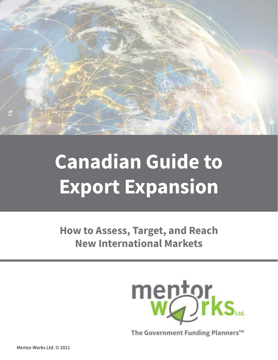

# **Canadian Guide to Export Expansion**

**How to Assess, Target, and Reach New International Markets**



The Government Funding Planners™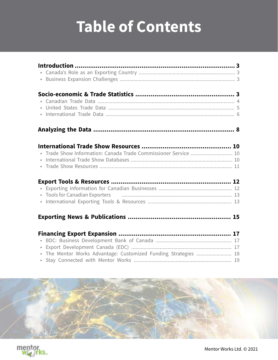# **Table of Contents**

| • Tools for Canadian Exporters <b>Fig. 13</b> Fig. 23 (1991) 13 |  |
|-----------------------------------------------------------------|--|
|                                                                 |  |
|                                                                 |  |
|                                                                 |  |
|                                                                 |  |
|                                                                 |  |
|                                                                 |  |
| $\bullet$                                                       |  |
| $\bullet$                                                       |  |
| · The Mentor Works Advantage: Customized Funding Strategies  18 |  |
| $\bullet$                                                       |  |
|                                                                 |  |



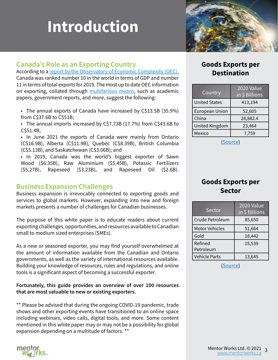# <span id="page-2-0"></span>**Introduction**

# **Canada's Role as an Exporting Country**

According to a [report by the Observatory of Economic Complexity \(OEC\),](https://oec.world/en/profile/country/can) Canada was ranked number 10 in the world in terms of GDP and number 11 in terms of total exports for 2019. The most up to date OEC information on exporting, collated through [multifarious means,](https://oec.world/en/resources/methods) such as academic papers, government reports, and more, suggest the following:

• The annual exports of Canada have increased by C\$13.5B (35.9%) from C\$37.6B to C\$51B;

• The annual imports increased by C\$7.73B (17.7%) from C\$43.6B to C\$51.4B;

• In June 2021 the exports of Canada were mainly from Ontario (C\$16.9B), Alberta (C\$11.9B), Quebec (C\$8.39B), British Columbia (C\$5.13B), and Saskatchewan (C\$3.06B); and

• In 2019, Canada was the world's biggest exporter of Sawn Wood (\$6.35B), Raw Aluminium (\$5.45B), Potassic Fertilizers (\$5.27B), Rapeseed (\$3.23B), and Rapeseed Oil (\$2.6B).

# **Business Expansion Challenges**

Business expansion is irrevocably connected to exporting goods and services to global markets. However, expanding into new and foreign markets presents a number of challenges for Canadian businesses.

The purpose of this white paper is to educate readers about current exporting challenges, opportunities, and resources available to Canadian small to medium sized enterprises (SMEs).

As a new or seasoned exporter, you may find yourself overwhelmed at the amount of information available from the Canadian and Ontario governments, as well as the variety of international resources available. Building your knowledge of resources, rules and regulations, and online tools is a significant aspect of becoming a successful exporter.

**Fortunately, this guide provides an overview of over 100 resources that are most valuable to new or existing exporters.**

\*\* Please be advised that during the ongoing COVID-19 pandemic, trade shows and other exporting events have transitioned to an online space including webinars, video calls, digital tools, and more. Some content mentioned in this white paper may or may not be a possibility for global expansion depending on a multitude of factors. \*\*

# **Goods Exports per Destination**

| Country               | 2020 Value<br>in \$ Billions |
|-----------------------|------------------------------|
| <b>United States</b>  | 413,194                      |
| <b>European Union</b> | 52,605                       |
| China                 | 28,882.4                     |
| United Kingdom        | 23,464                       |
| Mexico                | 7,759                        |

([Source](https://goo.gl/B3tFI))

# **Goods Exports per Sector**

| Sector                | <b>2020 Value</b><br>in \$ Billions |
|-----------------------|-------------------------------------|
| Crude Petroleum       | 85,650                              |
| <b>Motor Vehicles</b> | 51,664                              |
| Gold                  | 18,442                              |
| Refined<br>Petroleum  | 15,539                              |
| <b>Vehicle Parts</b>  | 13,645                              |

([Source](https://oec.world/en/profile/country/can))

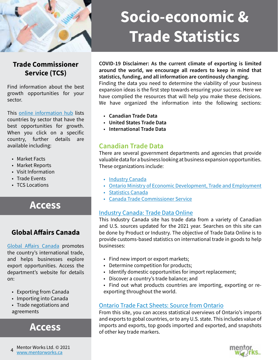<span id="page-3-0"></span>

# **Socio-economic & Trade Statistics**

# **[Trade Commissioner](https://www.tradecommissioner.gc.ca/index.aspx?lang=eng)  [Service](https://www.tradecommissioner.gc.ca/index.aspx?lang=eng) (TCS)**

Find information about the best growth opportunities for your sector.

This [online information hub](https://www.tradecommissioner.gc.ca/country_info_reports-info_pays_rapports.aspx?lang=eng) lists countries by sector that have the best opportunities for growth. When you click on a specific country, further details are available including:

- Market Facts
- Market Reports
- Visit Information
- Trade Events
- TCS Locations

# **[Access](http://bit.ly/2UACYRV)**

# **Global Affairs Canada**

[Global Affairs Canada](https://www.international.gc.ca/global-affairs-affaires-mondiales/home-accueil.aspx?lang=eng) promotes the country's international trade, and helps businesses explore export opportunities. Access the department's website for details on:

- Exporting from Canada
- Importing into Canada
- Trade negotiations and agreements

**[Access](http://bit.ly/2LdUkQi)**

**COVID-19 Disclaimer: As the current climate of exporting is limited around the world, we encourage all readers to keep in mind that statistics, funding, and all information are continously changing.** 

Finding the data you need to determine the viability of your business expansion ideas is the first step towards ensuring your success. Here we have complied the resources that will help you make these decisions. We have organized the information into the following sections:

- **Canadian Trade Data**
- **United States Trade Data**
- **International Trade Data**

# **Canadian Trade Data**

There are several government departments and agencies that provide valuable data for a business looking at business expansion opportunities. These organizations include:

- [Industry Canada](https://www.ic.gc.ca/app/scr/app/cis/search-recherche?lang=eng)
- [Ontario Ministry of Economic Development, Trade and Employment](https://www.ontario.ca/page/ministry-economic-development-job-creation-trade)
- [Statistics Canada](https://www.statcan.gc.ca/eng/start)
- [Canada Trade Commissioner Service](https://www.tradecommissioner.gc.ca/index.aspx?lang=eng)

### [Industry Canada: Trade Data Online](http://bit.ly/2xHIUOv)

This Industry Canada site has trade data from a variety of Canadian and U.S. sources updated for the 2021 year. Searches on this site can be done by Product or Industry. The objective of Trade Data Online is to provide customs-based statistics on international trade in goods to help businesses:

- Find new import or export markets;
- Determine competition for products;
- Identify domestic opportunities for import replacement;
- Discover a country's trade balance; and
- Find out what products countries are importing, exporting or reexporting throughout the world.

## [Ontario Trade Fact Sheets: Source from Ontario](http://bit.ly/2UB9HGv)

From this site, you can access statistical overviews of Ontario's imports and exports to gobal countries, or to any U.S. state. This includes value of imports and exports, top goods imported and exported, and snapshots of other key trade markers.

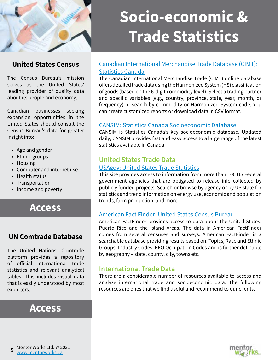<span id="page-4-0"></span>

# **United States Census**

The Census Bureau's mission serves as the United States' leading provider of quality data about its people and economy.

Canadian businesses seeking expansion opportunities in the United States should consult the Census Bureau's data for greater insight into:

- Age and gender
- Ethnic groups
- Housing
- Computer and internet use
- Health status
- Transportation
- Income and poverty

# **[Access](http://bit.ly/2LlWgX7)**

# **UN Comtrade Database**

The United Nations' Comtrade platform provides a repository of official international trade statistics and relevant analytical tables. This includes visual data that is easily understood by most exporters.

# **[Access](http://bit.ly/2UCeSpH)**

# **Socio-economic & Trade Statistics**

## [Canadian International Merchandise Trade Database \(CIMT\):](http://bit.ly/2UBzSgs)  [Statistics Canada](http://bit.ly/2UBzSgs)

The Canadian International Merchandise Trade (CIMT) online database offers detailed trade data using the Harmonized System (HS) classification of goods (based on the 6-digit commodity level). Select a trading partner and specific variables (e.g., country, province, state, year, month, or frequency) or search by commodity or Harmonized System code. You can create customized reports or download data in CSV format.

### [CANSIM: Statistics Canada Socioeconomic Database](http://bit.ly/2UyKVXD)

CANSIM is Statistics Canada's key socioeconomic database. Updated daily, CANSIM provides fast and easy access to a large range of the latest statistics available in Canada.

# **United States Trade Data**

#### US[Agov: United States Trade Statistics](http://bit.ly/2UCyk62)

This site provides access to information from more than 100 US Federal government agencies that are obligated to release info collected by publicly funded projects. Search or browse by agency or by US state for statistics and trend information on energy use, economic and population trends, farm production, and more.

#### [American Fact Finder: United States Census Bureau](https://data.census.gov/cedsci/)

American FactFinder provides access to data about the United States, Puerto Rico and the Island Areas. The data in American FactFinder comes from several censuses and surveys. American FactFinder is a searchable database providing results based on: Topics, Race and Ethnic Groups, Industry Codes, EEO Occupation Codes and is further definable by geography – state, county, city, towns etc.

# **International Trade Data**

There are a considerable number of resources available to access and analyze international trade and socioeconomic data. The following resources are ones that we find useful and recommend to our clients.

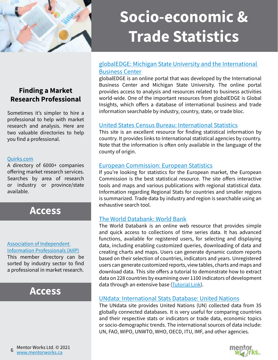<span id="page-5-0"></span>

# **Socio-economic & Trade Statistics**

## [globalEDGE: Michigan State University and the International](http://bit.ly/2UB2Vkk)  [Business Center](http://bit.ly/2UB2Vkk)

globalEDGE is an online portal that was developed by the International Business Center and Michigan State University. The online portal provides access to analysis and resources related to business activities world-wide. One of the important resources from globalEDGE is Global Insights, which offers a database of international business and trade information searchable by industry, country, state, or trade bloc.

### [United States Census Bureau: International Statistics](https://www.census.gov/programs-surveys/international-programs/about/idb.html)

This site is an excellent resource for finding statistical information by country. It provides links to International statistical agencies by country. Note that the information is often only available in the language of the county of origin.

### [European Commission: European Statistics](http://bit.ly/2UxFGrr)

If you're looking for statistics for the European market, the European Commission is the best statistical resource. The site offers interactive tools and maps and various publications with regional statistical data. Information regarding Regional Stats for countries and smaller regions is summarized. Trade data by industry and region is searchable using an exhaustive search tool.

### [The World Databank: World Bank](http://bit.ly/2Ux7iga)

The World Databank is an online web resource that provides simple and quick access to collections of time series data. It has advanced functions, available for registered users, for selecting and displaying data, including enabling customized queries, downloading of data and creating charts and maps. Users can generate dynamic custom reports based on their selection of countries, indicators and years. Unregistered users can generate customized reports, view tables, charts and maps and download data. This site offers a tutorial to demonstrate how to extract data on 228 countries by examining over 1100 indicators of development data through an extensive base [\(Tutorial Link](https://databank.worldbank.org/faq/html/databank-faq.html)).

#### [UNdata: International Stats Database: United Nations](http://bit.ly/2Ux82ls)

The UNdata site provides United Nations (UN) collected data from 35 globally connected databases. It is very useful for comparing countries and their respective stats or indicators or trade data, economic topics or socio-demographic trends. The international sources of data include: UN, FAO, WIPO, UNWTO, WHO, OECD, ITU, IMF, and other agencies.



# **Finding a Market Research Professional**

Sometimes it's simpler to hire a professional to help with market research and analysis. Here are two valuable directories to help you find a professional.

#### [Quirks.com](http://bit.ly/2BaTGhT)

A directory of 6000+ companies offering market research services. Searches by area of research or industry or province/state available.

# **[Access](http://bit.ly/2BaTGhT)**

#### [Association of Independent](http://bit.ly/2Bd5akM)  [Information Professionals \(AIIP\)](http://bit.ly/2Bd5akM)

This member directory can be sorted by industry sector to find a professional in market research.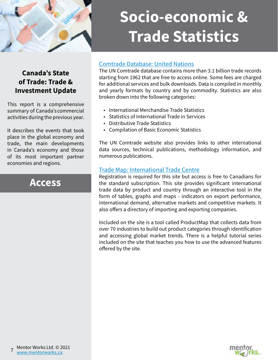

# **Socio-economic & Trade Statistics**

## [Comtrade Database: United Nations](http://bit.ly/2UCeSpH)

The UN Comtrade database contains more than 3.1 billion trade records starting from 1962 that are free to access online. Some fees are charged for additional services and bulk downloads. Data is compiled in monthly and yearly formats by country and by commodity. Statistics are also broken down into the following categories:

- International Merchandise Trade Statistics
- Statistics of International Trade in Services
- Distributive Trade Statistics
- Compilation of Basic Economic Statistics

The UN Comtrade website also provides links to other international data sources, technical publications, methodology information, and numerous publications.

## [Trade Map: International Trade Centre](http://bit.ly/2UCIxPy)

Registration is required for this site but access is free to Canadians for the standard subscription. This site provides significant international trade data by product and country through an interactive tool in the form of tables, graphs and maps - indicators on export performance, international demand, alternative markets and competitive markets. It also offers a directory of importing and exporting companies.

Included on the site is a tool called ProductMap that collects data from over 70 industries to build out product categories through identification and accessing global market trends. There is a helpful tutorial series included on the site that teaches you how to use the advanced features offered by the site.

# **Canada's State of Trade: Trade & Investment Update**

This report is a comprehensive summary of Canada's commercial activities during the previous year.

It describes the events that took place in the global economy and trade, the main developments in Canada's economy and those of its most important partner economies and regions.

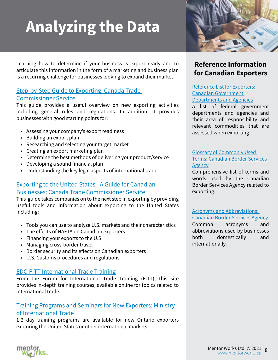# <span id="page-7-0"></span>**Analyzing the Data**

Learning how to determine if your business is export ready and to articulate this information in the form of a marketing and business plan is a recurring challenge for businesses looking to expand their market.

### [Step-by-Step Guide to Exporting: Canada Trade](http://bit.ly/2Uv18NH)  [Commissioner Service](http://bit.ly/2Uv18NH)

This guide provides a useful overview on new exporting activities including general rules and regulations. In addition, it provides businesses with good starting points for:

- Assessing your company's export readiness
- Building an export plan
- Researching and selecting your target market
- Creating an export marketing plan
- Determine the best methods of delivering your product/service
- Developing a sound financial plan
- Understanding the key legal aspects of international trade

## [Exporting to the United States - A Guide for Canadian](https://www.tradecommissioner.gc.ca/guides/us-export_eu/index.aspx?lang=eng)  [Businesses: Canada Trade Commissioner Service](https://www.tradecommissioner.gc.ca/guides/us-export_eu/index.aspx?lang=eng)

This guide takes companies on to the next step in exporting by providing useful tools and information about exporting to the United States including:

- Tools you can use to analyze U.S. markets and their characteristics
- The effects of NAFTA on Canadian exporters
- Financing your exports to the U.S.
- Managing cross-border travel
- Border security and its effects on Canadian exporters
- U.S. Customs procedures and regulations

### [EDC-FITT International Trade Training](http://bit.ly/2EvzImS)

From the Forum for International Trade Training (FITT), this site provides in-depth training courses, available online for topics related to international trade.

## [Training Programs and Seminars for New Exporters: Ministry](http://bit.ly/2UCfz2h)  [of International Trade](http://bit.ly/2UCfz2h)

1-2 day training programs are available for new Ontario exporters exploring the United States or other international markets.



# **Reference Information for Canadian Exporters**

[Reference List for Exporters:](http://bit.ly/2BbOfze)  [Canadian Government](http://bit.ly/2BbOfze)  [Departments and Agencies](http://bit.ly/2BbOfze)

[A list of federal government](http://bit.ly/2BbOfze)  [departments and agencies and](http://bit.ly/2BbOfze)  [their area of responsibility and](http://bit.ly/2BbOfze)  [relevant commodities that are](http://bit.ly/2BbOfze)  [assessed when exporting.](http://bit.ly/2BbOfze)

#### [Glossary of Commonly Used](http://bit.ly/2B8XHmR)  [Terms: Canadian Border Services](http://bit.ly/2B8XHmR)  [Agency](http://bit.ly/2B8XHmR)

Comprehensive list of terms and words used by the Canadian Border Services Agency related to exporting.

#### [Acronyms and Abbreviations:](http://bit.ly/2UyGGLH)

[Canadian Border Services Agency](http://bit.ly/2UyGGLH)

Common acronyms and abbreviations used by businesses both domestically and internationally.

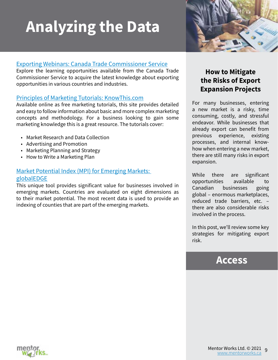# **Analyzing the Data**



## [Exporting Webinars: Canada Trade Commissioner Service](https://www.tradecommissioner.gc.ca/events-evenements/index.aspx?lang=eng)

Explore the learning opportunities available from the Canada Trade Commissioner Service to acquire the latest knowledge about exporting opportunities in various countries and industries.

### [Principles of Marketing Tutorials: KnowThis.com](http://bit.ly/2UBEoLW)

Available online as free marketing tutorials, this site provides detailed and easy to follow information about basic and more complex marketing concepts and methodology. For a business looking to gain some marketing knowledge this is a great resource. The tutorials cover:

- Market Research and Data Collection
- Advertising and Promotion
- Marketing Planning and Strategy
- How to Write a Marketing Plan

# [Market Potential Index \(MPI\) for Emerging Markets:](http://bit.ly/2Uv3jkl)  [globalEDGE](http://bit.ly/2Uv3jkl)

This unique tool provides significant value for businesses involved in emerging markets. Countries are evaluated on eight dimensions as to their market potential. The most recent data is used to provide an indexing of counties that are part of the emerging markets.

# **How to Mitigate the Risks of Export Expansion Projects**

For many businesses, entering a new market is a risky, time consuming, costly, and stressful endeavor. While businesses that already export can benefit from previous experience, existing processes, and internal knowhow when entering a new market, there are still many risks in export expansion.

While there are significant opportunities available to Canadian businesses going global – enormous marketplaces, reduced trade barriers, etc. – there are also considerable risks involved in the process.

In this post, we'll review some key strategies for mitigating export risk.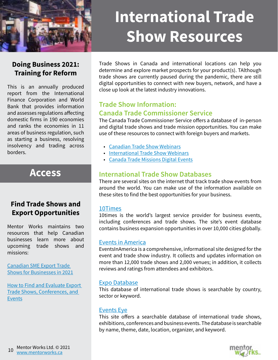<span id="page-9-0"></span>

# **International Trade Show Resources**

# **Doing Business 2021: Training for Reform**

This is an annually produced report from the International Finance Corporation and World Bank that provides information and assesses regulations affecting domestic firms in 190 economies and ranks the economies in 11 areas of business regulation, such as starting a business, resolving insolvency and trading across borders.

# **[Access](https://openknowledge.worldbank.org/bitstream/handle/10986/32436/9781464814402.pdf)**

# **Find Trade Shows and Export Opportunities**

Mentor Works maintains two resources that help Canadian businesses learn more about upcoming trade shows and missions:

[Canadian SME Export Trade](http://www.smeexpo.ca/agenda)  [Shows for Businesses in](http://www.smeexpo.ca/agenda) 2021

[How to Find and Evaluate Export](http://bit.ly/2zmkoTN)  [Trade Shows, Conferences, and](http://bit.ly/2zmkoTN)  [Events](http://bit.ly/2zmkoTN)

Trade Shows in Canada and international locations can help you determine and explore market prospects for your product(s). TAlthough trade shows are currently paused during the pandemic, there are still digital opportunities to connect with new buyers, network, and have a close up look at the latest industry innovations.

# **Trade Show Information: Canada Trade Commissioner Service**

The Canada Trade Commissioner Service offers a database of in-person and digital trade shows and trade mission opportunities. You can make use of these resources to connect with foreign buyers and markets.

- [Canadian Trade Show](https://www.tradecommissioner.gc.ca/events-evenements/index.aspx?lang=eng) Webinars
- [International Trade Show](http://bit.ly/2UAMXXl) Webinars
- [Canada Trade Missions](https://www.tradecommissioner.gc.ca/events-evenements/index.aspx?lang=eng) Digital Events

# **International Trade Show Databases**

There are several sites on the internet that track trade show events from around the world. You can make use of the information available on these sites to find the best opportunities for your business.

### [10Times](http://bit.ly/2UuU7MR)

10times is the world's largest service provider for business events, including conferences and trade shows. The site's event database contains business expansion opportunities in over 10,000 cities globally.

#### [Events in America](http://bit.ly/2UB6JlC)

EventsInAmerica is a comprehensive, informational site designed for the event and trade show industry. It collects and updates information on more than 12,000 trade shows and 2,000 venues; in addition, it collects reviews and ratings from attendees and exhibitors.

### [Expo Database](https://www.tw-media.com/events/)

This database of international trade shows is searchable by country, sector or keyword.

#### [Events Eye](http://bit.ly/2UHGkTg)

This site offers a searchable database of international trade shows, exhibitions, conferences and business events. The database is searchable by name, theme, date, location, organizer, and keyword.

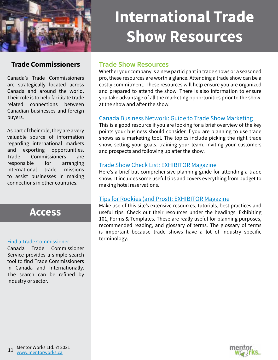<span id="page-10-0"></span>

# **International Trade Show Resources**

# **Trade Commissioners**

Canada's Trade Commissioners are strategically located across Canada and around the world. Their role is to help facilitate trade related connections between Canadian businesses and foreign buyers.

As part of their role, they are a very valuable source of information regarding international markets and exporting opportunities. Trade Commissioners are responsible for arranging international trade missions to assist businesses in making connections in other countries.



#### [Find a Trade Commissioner](http://bit.ly/2Bdft8D)

Canada Trade Commissioner Service provides a simple search tool to find Trade Commissioners in Canada and Internationally. The search can be refined by industry or sector.

## **Trade Show Resources**

Whether your company is a new participant in trade shows or a seasoned pro, these resources are worth a glance. Attending a trade show can be a costly commitment. These resources will help ensure you are organized and prepared to attend the show. There is also information to ensure you take advantage of all the marketing opportunities prior to the show, at the show and after the show.

### [Canada Business Network: Guide to Trade Show Marketing](http://bit.ly/2UAGVGf)

This is a good resource if you are looking for a brief overview of the key points your business should consider if you are planning to use trade shows as a marketing tool. The topics include picking the right trade show, setting your goals, training your team, inviting your customers and prospects and following up after the show.

#### [Trade Show Check List: EXHIBITOR Magazine](http://bit.ly/2UxcZe2)

Here's a brief but comprehensive planning guide for attending a trade show. It includes some useful tips and covers everything from budget to making hotel reservations.

### [Tips for Rookies \(and Pros!\): EXHIBITOR Magazine](http://bit.ly/2UDxdCP)

Make use of this site's extensive resources, tutorials, best practices and useful tips. Check out their resources under the headings: Exhibiting 101, Forms & Templates. These are really useful for planning purposes, recommended reading, and glossary of terms. The glossary of terms is important because trade shows have a lot of industry specific terminology.

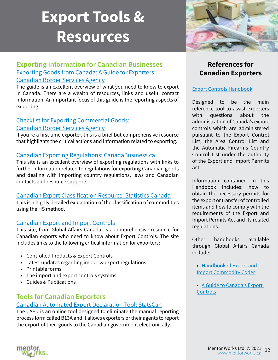# <span id="page-11-0"></span>**Export Tools & Resources**

## **Exporting Information for Canadian Businesses** [Exporting Goods from Canada: A Guide for Exporters:](http://bit.ly/2UzsKkK)  [Canadian Border Services Agency](http://bit.ly/2UzsKkK)

#### The guide is an excellent overview of what you need to know to export in Canada. There are a wealth of resources, links and useful contact information. An important focus of this guide is the reporting aspects of exporting.

### [Checklist for Exporting Commercial Goods:](http://bit.ly/2UyCnjy)  [Canadian Border Services Agency](http://bit.ly/2UyCnjy)

If you're a first time exporter, this is a brief but comprehensive resource that highlights the critical actions and information related to exporting.

## [Canadian Exporting Regulations: CanadaBusiness.ca](http://bit.ly/2UBPgJR)

This site is an excellent overview of exporting regulations with links to further information related to regulations for exporting Canadian goods and dealing with importing country regulations, laws and Canadian contacts and resource supports.

## [Canadian Export Classification Resource: Statistics Canada](http://bit.ly/2UDIBP0)

This is a highly detailed explanation of the classification of commodities using the HS method.

# [Canadian Export and Import Controls](http://bit.ly/2Uv60Ct)

This site, from Global Affairs Canada, is a comprehensive resource for Canadian exports who need to know about Export Controls. The site includes links to the following critical information for exporters:

- Controlled Products & Export Controls
- Latest updates regarding import & export regulations.
- Printable forms
- The import and export controls systems
- Guides & Publications

# **Tools for Canadian Exporters**

# [Canadian Automated Export Declaration Tool: StatsCan](http://bit.ly/2UHGMRs)

The CAED is an online tool designed to eliminate the manual reporting process form called B13A and it allows exporters or their agents to report the export of their goods to the Canadian government electronically.



# **References for Canadian Exporters**

# [Export Controls Handbook](http://bit.ly/2BaOQky)

Designed to be the main reference tool to assist exporters with questions about the administration of Canada's export controls which are administered pursuant to the Export Control List, the Area Control List and the Automatic Firearms Country Control List under the authority of the Export and Import Permits Act.

Information contained in this Handbook includes: how to obtain the necessary permits for the export or transfer of controlled items and how to comply with the requirements of the Export and Import Permits Act and its related regulations.

Other handbooks available through Global Affairs Canada include:

• [Handbook of Export and](http://bit.ly/2BeeDsm)  [Import Commodity Codes](http://bit.ly/2BeeDsm)

• [A Guide to Canada's Export](https://www.international.gc.ca/controls-controles/about-a_propos/expor/before-avant.aspx?lang=eng)  **[Controls](https://www.international.gc.ca/controls-controles/about-a_propos/expor/before-avant.aspx?lang=eng)** 

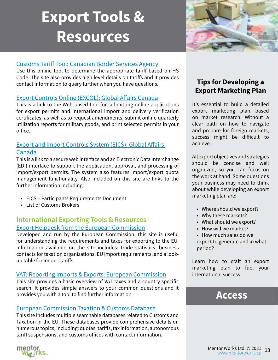# <span id="page-12-0"></span>**Export Tools & Resources**



## [Customs Tariff Tool: Canadian Border Services Agency](http://bit.ly/2UDxW71)

Use this online tool to determine the appropriate tariff based on HS Code. The site also provides high level details on tariffs and it provides contact information to query further when you have questions.

### [Export Controls Online \(EXCOL\): Global Affairs Canada](http://bit.ly/2UCht2V)

This is a link to the Web-based tool for submitting online applications for export permits and international import and delivery verification certificates, as well as to request amendments, submit online quarterly utilization reports for military goods, and print selected permits in your office.

# [Export and Import Controls System \(EICS\): Global Affairs](https://www.international.gc.ca/controls-controles/systems-systemes/eics-scei/eics_new-scei_nouveau.aspx?lang=eng)  [Canada](https://www.international.gc.ca/controls-controles/systems-systemes/eics-scei/eics_new-scei_nouveau.aspx?lang=eng)

This is a link to a secure web interface and an Electronic Data Interchange (EDI) interface to support the application, approval, and processing of import/export permits. The system also features import/export quota management functionality. Also included on this site are links to the further information including:

- EICS Participants Requirements Document
- List of Customs Brokers

### **International Exporting Tools & Resources** [Export Helpdesk from the European Commission](http://bit.ly/2UCDjng)

Developed and run by the European Commission, this site is useful for understanding the requirements and taxes for exporting to the EU. Information available on the site includes: trade statistics, business contacts for taxation organizations, EU import requirements, and a lookup table for import tariffs.

#### [VAT: Reporting Imports & Exports: European Commission](http://bit.ly/2Uv85yh)

This site provides a basic overview of VAT taxes and a country specific search. It provides simple answers to your common questions and it provides you with a tool to find further information.

### [European Commission Taxation & Customs Database](http://bit.ly/2UEQqV1)

This site includes multiple searchable databases related to Customs and Taxation in the EU. These databases provide comprehensive details on numerous topics, including: quotas, tariffs, tax information, autonomous tariff suspensions, and customs offices with contact information.

# **Tips for Developing a Export Marketing Plan**

It's essential to build a detailed export marketing plan based on market research. Without a clear path on how to navigate and prepare for foreign markets, success might be difficult to achieve.

All export objectives and strategies should be concise and well organized, so you can focus on the work at hand. Some questions your business may need to think about while developing an export marketing plan are:

- Where should we export?
- Why these markets?
- What should we export?
- How will we market?

• How much sales do we expect to generate and in what period?

Learn how to craft an export marketing plan to fuel your international success:

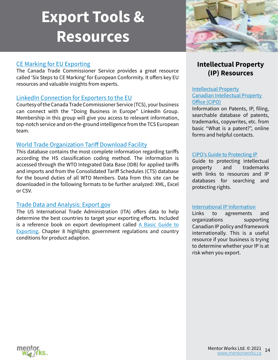# **Export Tools & Resources**

### [CE Marking for EU Exporting](https://www.tradecommissioner.gc.ca/guides/eu_export-guide_ue.aspx?lang=eng&wbdisable=true)

The Canada Trade Commissioner Service provides a great resource called 'Six Steps to CE Marking' for European Conformity. It offers key EU resources and valuable insights from experts.

#### [LinkedIn Connection for Exporters to the EU](http://bit.ly/2UDJya2)

Courtesy of the Canada Trade Commissioner Service (TCS), your business can connect with the "Doing Business in Europe" LinkedIn Group. Membership in this group will give you access to relevant information, top-notch service and on-the-ground intelligence from the TCS European team.

#### [World Trade Organization Tariff Download Facility](http://bit.ly/2UCMOm4)

This database contains the most complete information regarding tariffs according the HS classification coding method. The information is accessed through the WTO Integrated Data Base (IDB) for applied tariffs and imports and from the Consolidated Tariff Schedules (CTS) database for the bound duties of all WTO Members. Data from this site can be downloaded in the following formats to be further analyzed: XML, Excel or CSV.

#### [Trade Data and Analysis: Export.gov](http://bit.ly/2B8spfW)

The US International Trade Administration (ITA) offers data to help determine the best countries to target your exporting efforts. Included is a reference book on export development called A Basic Guide to [Exporting](http://bit.ly/2Be9Ua6). Chapter 8 highlights government regulations and country conditions for product adaption.



# **Intellectual Property (IP) Resources**

#### [Intellectual Property](http://bit.ly/2B6RuI6) [Canadian Intellectual Property](http://bit.ly/2B6RuI6)  [Office \(CIPO\)](http://bit.ly/2B6RuI6)

Information on Patents, IP, filing, searchable database of patents, trademarks, copywrites, etc. from basic "What is a patent?", online forms and helpful contacts.

#### [CIPO's Guide to Protecting IP](http://bit.ly/2B8CXvp)

Guide to protecting intellectual property and trademarks with links to resources and IP databases for searching and protecting rights.

#### [International IP Information](http://bit.ly/2B8z3CU)

Links to agreements and organizations supporting Canadian IP policy and framework internationally. This is a useful resource if your business is trying to determine whether your IP is at risk when you export.

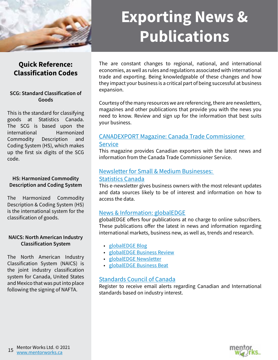<span id="page-14-0"></span>

# **Exporting News & Publications**

# **Quick Reference: Classification Codes**

#### **SCG: Standard Classification of Goods**

This is the standard for classifying goods at Statistics Canada. The SCG is based upon the international Harmonized Commodity Description and Coding System (HS), which makes up the first six digits of the SCG code.

#### **HS: Harmonized Commodity Description and Coding System**

The Harmonized Commodity Description & Coding System (HS) is the international system for the classification of goods.

#### **NAICS: North American Industry Classification System**

The North American Industry Classification System (NAICS) is the joint industry classification system for Canada, United States and Mexico that was put into place following the signing of NAFTA.

The are constant changes to regional, national, and international economies, as well as rules and regulations associated with international trade and exporting. Being knowledgeable of these changes and how they impact your business is a critical part of being successful at business expansion.

Courtesy of the many resources we are referencing, there are newsletters, magazines and other publications that provide you with the news you need to know. Review and sign up for the information that best suits your business.

## [CANADEXPORT Magazine: Canada Trade Commissioner](https://www.tradecommissioner.gc.ca/canadexport/index.aspx?lang=eng&)  **[Service](https://www.tradecommissioner.gc.ca/canadexport/index.aspx?lang=eng&)**

This magazine provides Canadian exporters with the latest news and information from the Canada Trade Commissioner Service.

#### [Newsletter for Small & Medium Businesses:](http://bit.ly/2B8sYGA)  [Statistics Canada](http://bit.ly/2B8sYGA)

This e-newsletter gives business owners with the most relevant updates and data sources likely to be of interest and information on how to access the data.

### [News & Information: globalEDGE](http://bit.ly/2B9l287)

globalEDGE offers four publications at no charge to online subscribers. These publications offer the latest in news and information regarding international markets, business new, as well as, trends and research.

- [globalEDGE Blog](http://bit.ly/2B9oXBS)
- [globalEDGE Business Review](http://bit.ly/2BearJ8)
- [globalEDGE Newsletter](http://bit.ly/2BbFnJN)
- [globalEDGE Business Beat](http://bit.ly/2BkDafp)

### [Standards Council of Canada](http://bit.ly/2BdbRDB)

Register to receive email alerts regarding Canadian and International standards based on industry interest.

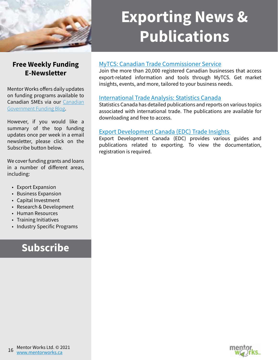

# **Exporting News & Publications**

# **Free Weekly Funding E-Newsletter**

Mentor Works offers daily updates on funding programs available to Canadian SMEs via our [Canadian](https://hubs.ly/H099RZf0) [Government Funding Blog](https://hubs.ly/H099RZf0).

However, if you would like a summary of the top funding updates once per week in a email newsletter, please click on the Subscribe button below.

We cover funding grants and loans in a number of different areas, including:

- Export Expansion
- Business Expansion
- Capital Investment
- Research & Development
- Human Resources
- Training Initiatives
- Industry Specific Programs

# **[Subscribe](https://hubs.ly/H099RZ-0)**

## MyTCS[: Canadian Trade Commissioner Service](http://bit.ly/2Ba3UPt)

Join the more than 20,000 registered Canadian businesses that access export-related information and tools through MyTCS. Get market insights, events, and more, tailored to your business needs.

### [International Trade Analysis: Statistics Canada](http://bit.ly/2B8OZ8d)

Statistics Canada has detailed publications and reports on various topics associated with international trade. The publications are available for downloading and free to access.

## [Export Development Canada \(EDC\) Trade Insights](http://bit.ly/2B9MK4y)

Export Development Canada (EDC) provides various guides and publications related to exporting. To view the documentation, registration is required.

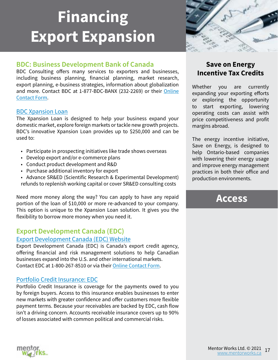# <span id="page-16-0"></span>**Financing Export Expansion**

# **BDC: Business Development Bank of Canada**

BDC Consulting offers many services to exporters and businesses, including business planning, financial planning, market research, export planning, e-business strategies, information about globalization and more. Contact BDC at 1-877-BDC-BANX (232-2269) or their [Online](http://bit.ly/2B9MUsG)  [Contact Form.](http://bit.ly/2B9MUsG)

#### [BDC Xpansion Loan](http://bit.ly/2Be9PCX)

The Xpansion Loan is designed to help your business expand your domestic market, explore foreign markets or tackle new growth projects. BDC's innovative Xpansion Loan provides up to \$250,000 and can be used to:

- Participate in prospecting initiatives like trade shows overseas
- Develop export and/or e-commerce plans
- Conduct product development and R&D
- Purchase additional inventory for export
- Advance SR&ED (Scientific Research & Experimental Development) refunds to replenish working capital or cover SR&ED consulting costs

Need more money along the way? You can apply to have any repaid portion of the loan of \$10,000 or more re-advanced to your company. This option is unique to the Xpansion Loan solution. It gives you the flexibility to borrow more money when you need it.

# **Export Development Canada (EDC)**

#### [Export Development Canada \(EDC\) Website](http://bit.ly/2xzUXgC)

Export Development Canada (EDC) is Canada's export credit agency, offering financial and risk management solutions to help Canadian businesses expand into the U.S. and other international markets. Contact EDC at 1-800-267-8510 or via their [Online Contact Form.](http://bit.ly/2Bd3mbu)

### Portfolio Credi[t Insurance: EDC](http://bit.ly/2AQMYi2)

Portfolio Credit Insurance is coverage for the payments owed to you by foreign buyers. Access to this insurance enables businesses to enter new markets with greater confidence and offer customers more flexible payment terms. Because your receivables are backed by EDC, cash flow isn't a driving concern. Accounts receivable insurance covers up to 90% of losses associated with common political and commercial risks.



# **Save on Energy Incentive Tax Credits**

Whether you are currently expanding your exporting efforts or exploring the opportunity to start exporting, lowering operating costs can assist with price competitiveness and profit margins abroad.

The energy incentive initiative, Save on Energy, is designed to help Ontario-based companies with lowering their energy usage and improve energy management practices in both their office and production environments[.](http://www.mentorworks.ca/download/infosheets/saveONenergy-Offices.pdf)

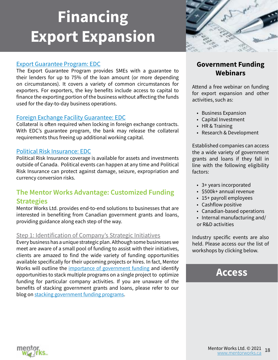# <span id="page-17-0"></span>**Financing Export Expansion**

### [Export Guarantee Program: EDC](http://bit.ly/2xBRG08)

The Export Guarantee Program provides SMEs with a guarantee to their lenders for up to 75% of the loan amount (or more depending on circumstances). It covers a variety of common circumstances for exporters. For exporters, the key benefits include access to capital to finance the exporting portion of the business without affecting the funds used for the day-to-day business operations.

### [Foreign Exchange Facility Guarantee: EDC](http://bit.ly/2xzYT0V)

Collateral is often required when locking in foreign exchange contracts. With EDC's guarantee program, the bank may release the collateral requirements thus freeing up additional working capital.

#### [Political Risk Insurance: EDC](http://bit.ly/2B8V2tn)

Political Risk Insurance coverage is available for assets and investments outside of Canada. Political events can happen at any time and Political Risk Insurance can protect against damage, seizure, expropriation and currency conversion risks.

# **The Mentor Works Advantage: Customized Funding Strategies**

Mentor Works Ltd. provides end-to-end solutions to businesses that are interested in benefiting from Canadian government grants and loans, providing guidance along each step of the way.

### Step 1: Identification of Company's Strategic Initiatives

Every business has a unique strategic plan. Although some businesses we meet are aware of a small pool of funding to assist with their initiatives, clients are amazed to find the wide variety of funding opportunities available specifically for their upcoming projects or hires. In fact, Mentor Works will outline the [importance of government funding](https://www.mentorworks.ca/blog/business-strategy/the-importance-of-canadian-government-funding/) and identify opportunities to stack multiple programs on a single project to optimize funding for particular company activities. If you are unaware of the benefits of stacking government grants and loans, please refer to our blog on [stacking government funding programs.](http://bit.ly/2P08JQE)



# **Government Funding Webinars**

Attend a free webinar on funding for export expansion and other activities, such as:

- Business Expansion
- Capital Investment
- HR & Training
- Research & Development

Established companies can access the a wide variety of government grants and loans if they fall in line with the following eligibility factors:

- 3+ years incorporated
- \$500k+ annual revenue
- 15+ payroll employees
- Cashflow positive
- Canadian-based operations
- Internal manufacturing and/ or R&D activities

Industry specific events are also held. Please access our the list of workshops by clicking below.